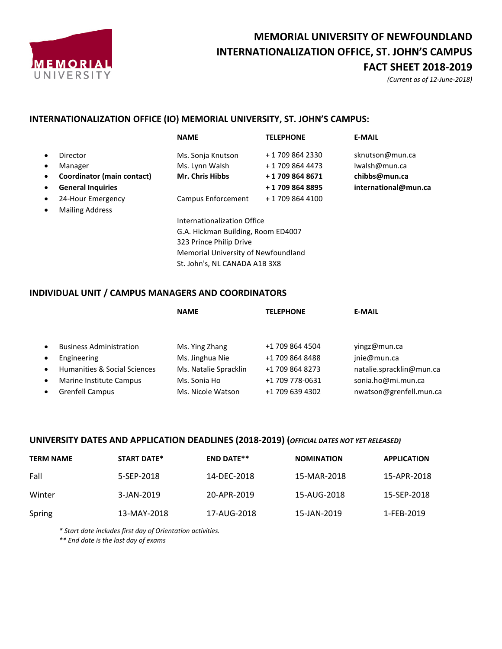

# **MEMORIAL UNIVERSITY OF NEWFOUNDLAND INTERNATIONALIZATION OFFICE, ST. JOHN'S CAMPUS FACT SHEET 2018-2019**

*(Current as of 12-June-2018)*

### **INTERNATIONALIZATION OFFICE (IO) MEMORIAL UNIVERSITY, ST. JOHN'S CAMPUS:**

|   |                            | <b>NAME</b>                         | <b>TELEPHONE</b> | <b>E-MAIL</b>        |
|---|----------------------------|-------------------------------------|------------------|----------------------|
|   | Director                   | Ms. Sonja Knutson                   | + 1 709 864 2330 | sknutson@mun.ca      |
| ٠ | Manager                    | Ms. Lynn Walsh                      | + 1 709 864 4473 | lwalsh@mun.ca        |
| ٠ | Coordinator (main contact) | <b>Mr. Chris Hibbs</b>              | +17098648671     | chibbs@mun.ca        |
|   | <b>General Inquiries</b>   |                                     | +17098648895     | international@mun.ca |
| ٠ | 24-Hour Emergency          | Campus Enforcement                  | + 1 709 864 4100 |                      |
|   | <b>Mailing Address</b>     |                                     |                  |                      |
|   |                            | Internationalization Office         |                  |                      |
|   |                            | G.A. Hickman Building, Room ED4007  |                  |                      |
|   |                            | 323 Prince Philip Drive             |                  |                      |
|   |                            | Memorial University of Newfoundland |                  |                      |
|   |                            | St. John's, NL CANADA A1B 3X8       |                  |                      |

### **INDIVIDUAL UNIT / CAMPUS MANAGERS AND COORDINATORS**

|           |                                | <b>NAME</b>           | <b>TELEPHONE</b> | <b>E-MAIL</b>            |
|-----------|--------------------------------|-----------------------|------------------|--------------------------|
|           |                                |                       |                  |                          |
| $\bullet$ | <b>Business Administration</b> | Ms. Ying Zhang        | +1 709 864 4504  | yingz@mun.ca             |
| $\bullet$ | Engineering                    | Ms. Jinghua Nie       | +1 709 864 8488  | jnie@mun.ca              |
| $\bullet$ | Humanities & Social Sciences   | Ms. Natalie Spracklin | +1 709 864 8273  | natalie.spracklin@mun.ca |
| $\bullet$ | Marine Institute Campus        | Ms. Sonia Ho          | +1 709 778-0631  | sonia.ho@mi.mun.ca       |
| $\bullet$ | <b>Grenfell Campus</b>         | Ms. Nicole Watson     | +1 709 639 4302  | nwatson@grenfell.mun.ca  |

#### **UNIVERSITY DATES AND APPLICATION DEADLINES (2018-2019) (***OFFICIAL DATES NOT YET RELEASED)*

| <b>TERM NAME</b> | <b>START DATE*</b> | <b>END DATE**</b> | <b>NOMINATION</b> | <b>APPLICATION</b> |
|------------------|--------------------|-------------------|-------------------|--------------------|
| Fall             | 5-SEP-2018         | 14-DEC-2018       | 15-MAR-2018       | 15-APR-2018        |
| Winter           | 3-JAN-2019         | 20-APR-2019       | 15-AUG-2018       | 15-SEP-2018        |
| Spring           | 13-MAY-2018        | 17-AUG-2018       | 15-JAN-2019       | 1-FEB-2019         |

*\* Start date includes first day of Orientation activities.*

*\*\* End date is the last day of exams*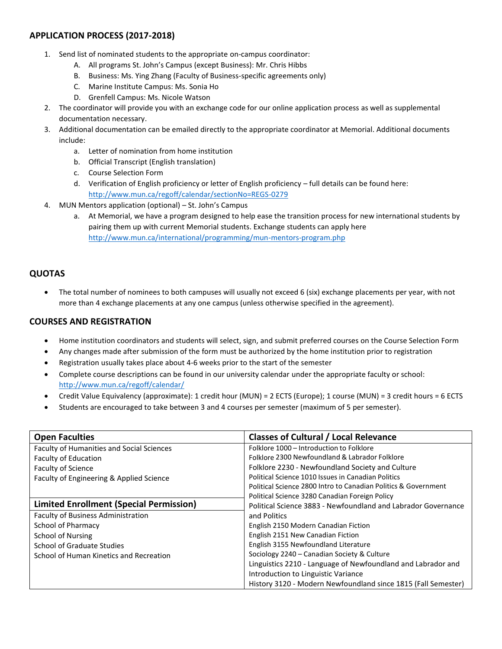## **APPLICATION PROCESS (2017-2018)**

- 1. Send list of nominated students to the appropriate on-campus coordinator:
	- A. All programs St. John's Campus (except Business): Mr. Chris Hibbs
	- B. Business: Ms. Ying Zhang (Faculty of Business-specific agreements only)
	- C. Marine Institute Campus: Ms. Sonia Ho
	- D. Grenfell Campus: Ms. Nicole Watson
- 2. The coordinator will provide you with an exchange code for our online application process as well as supplemental documentation necessary.
- 3. Additional documentation can be emailed directly to the appropriate coordinator at Memorial. Additional documents include:
	- a. Letter of nomination from home institution
	- b. Official Transcript (English translation)
	- c. Course Selection Form
	- d. Verification of English proficiency or letter of English proficiency full details can be found here: <http://www.mun.ca/regoff/calendar/sectionNo=REGS-0279>
- 4. MUN Mentors application (optional) St. John's Campus
	- a. At Memorial, we have a program designed to help ease the transition process for new international students by pairing them up with current Memorial students. Exchange students can apply here <http://www.mun.ca/international/programming/mun-mentors-program.php>

## **QUOTAS**

 The total number of nominees to both campuses will usually not exceed 6 (six) exchange placements per year, with not more than 4 exchange placements at any one campus (unless otherwise specified in the agreement).

### **COURSES AND REGISTRATION**

- Home institution coordinators and students will select, sign, and submit preferred courses on the Course Selection Form
- Any changes made after submission of the form must be authorized by the home institution prior to registration
- Registration usually takes place about 4-6 weeks prior to the start of the semester
- Complete course descriptions can be found in our university calendar under the appropriate faculty or school: <http://www.mun.ca/regoff/calendar/>
- Credit Value Equivalency (approximate): 1 credit hour (MUN) = 2 ECTS (Europe); 1 course (MUN) = 3 credit hours = 6 ECTS
- Students are encouraged to take between 3 and 4 courses per semester (maximum of 5 per semester).

| <b>Open Faculties</b>                     | <b>Classes of Cultural / Local Relevance</b>                   |
|-------------------------------------------|----------------------------------------------------------------|
| Faculty of Humanities and Social Sciences | Folklore 1000 - Introduction to Folklore                       |
| Faculty of Education                      | Folklore 2300 Newfoundland & Labrador Folklore                 |
| <b>Faculty of Science</b>                 | Folklore 2230 - Newfoundland Society and Culture               |
| Faculty of Engineering & Applied Science  | Political Science 1010 Issues in Canadian Politics             |
|                                           | Political Science 2800 Intro to Canadian Politics & Government |
|                                           | Political Science 3280 Canadian Foreign Policy                 |
| Limited Enrollment (Special Permission)   | Political Science 3883 - Newfoundland and Labrador Governance  |
| <b>Faculty of Business Administration</b> | and Politics                                                   |
| School of Pharmacy                        | English 2150 Modern Canadian Fiction                           |
| <b>School of Nursing</b>                  | English 2151 New Canadian Fiction                              |
| <b>School of Graduate Studies</b>         | English 3155 Newfoundland Literature                           |
| School of Human Kinetics and Recreation   | Sociology 2240 - Canadian Society & Culture                    |
|                                           | Linguistics 2210 - Language of Newfoundland and Labrador and   |
|                                           | Introduction to Linguistic Variance                            |
|                                           | History 3120 - Modern Newfoundland since 1815 (Fall Semester)  |